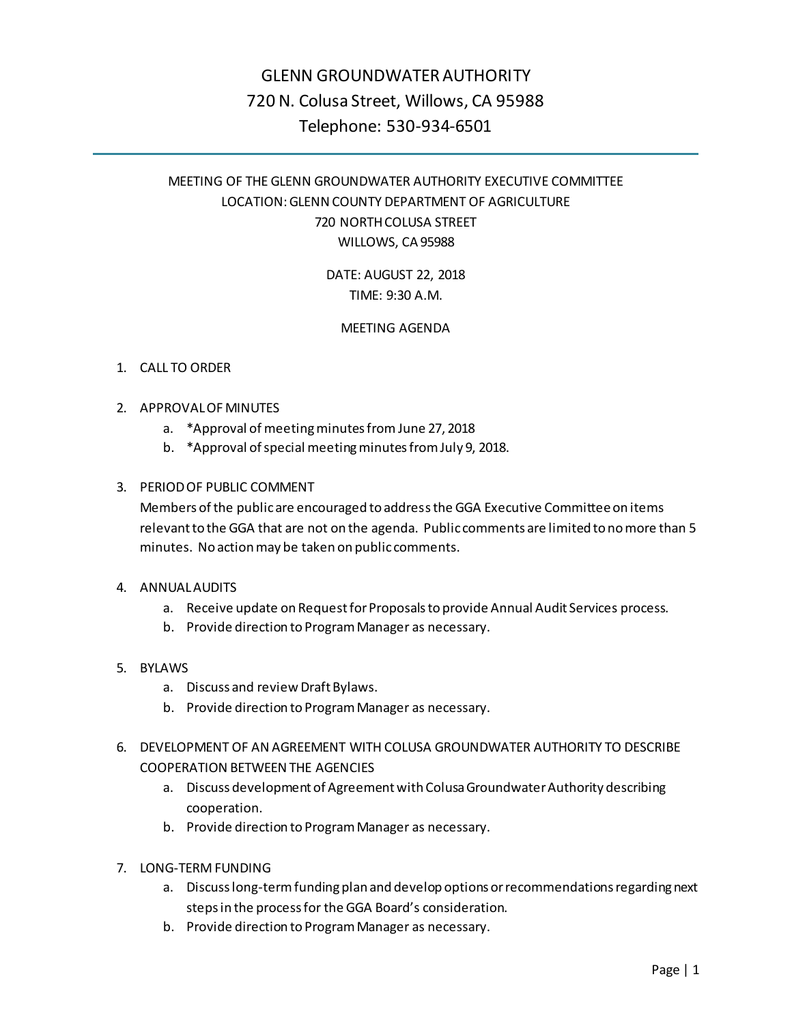# GLENN GROUNDWATER AUTHORITY 720 N. Colusa Street, Willows, CA 95988 Telephone: 530-934-6501

# MEETING OF THE GLENN GROUNDWATER AUTHORITY EXECUTIVE COMMITTEE LOCATION: GLENN COUNTY DEPARTMENT OF AGRICULTURE 720 NORTH COLUSA STREET WILLOWS, CA 95988

# DATE: AUGUST 22, 2018 TIME: 9:30 A.M.

# MEETING AGENDA

# 1. CALL TO ORDER

- 2. APPROVAL OF MINUTES
	- a. \*Approval of meeting minutes from June 27, 2018
	- b. \*Approval of special meeting minutes from July 9, 2018.

## 3. PERIOD OF PUBLIC COMMENT

Members of the public are encouraged to address the GGA Executive Committeeon items relevant to the GGA that are not on the agenda. Public comments are limited to no more than 5 minutes. No action may be taken on public comments.

### 4. ANNUAL AUDITS

- a. Receive update on Request for Proposals to provide Annual Audit Services process.
- b. Provide direction to Program Manager as necessary.
- 5. BYLAWS
	- a. Discuss and review Draft Bylaws.
	- b. Provide direction to Program Manager as necessary.
- 6. DEVELOPMENT OF AN AGREEMENT WITH COLUSA GROUNDWATER AUTHORITY TO DESCRIBE COOPERATION BETWEEN THE AGENCIES
	- a. Discuss development of Agreement with Colusa Groundwater Authority describing cooperation.
	- b. Provide direction to Program Manager as necessary.
- 7. LONG-TERM FUNDING
	- a. Discuss long-term funding plan and develop options or recommendations regarding next steps in the process for the GGA Board's consideration.
	- b. Provide direction to Program Manager as necessary.